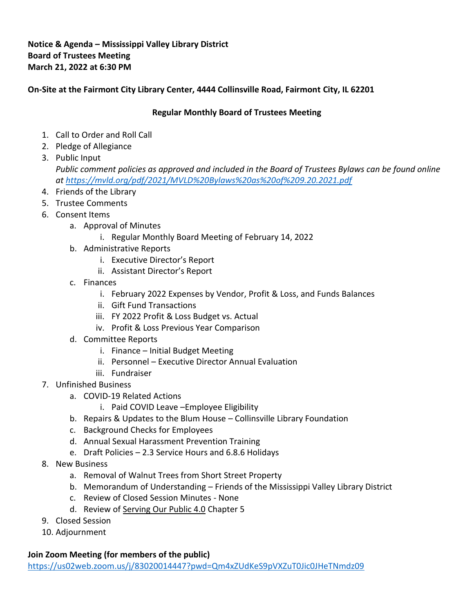## **Notice & Agenda – Mississippi Valley Library District Board of Trustees Meeting March 21, 2022 at 6:30 PM**

## **On-Site at the Fairmont City Library Center, 4444 Collinsville Road, Fairmont City, IL 62201**

## **Regular Monthly Board of Trustees Meeting**

- 1. Call to Order and Roll Call
- 2. Pledge of Allegiance
- 3. Public Input *Public comment policies as approved and included in the Board of Trustees Bylaws can be found online at<https://mvld.org/pdf/2021/MVLD%20Bylaws%20as%20of%209.20.2021.pdf>*
- 4. Friends of the Library
- 5. Trustee Comments
- 6. Consent Items
	- a. Approval of Minutes
		- i. Regular Monthly Board Meeting of February 14, 2022
	- b. Administrative Reports
		- i. Executive Director's Report
		- ii. Assistant Director's Report
	- c. Finances
		- i. February 2022 Expenses by Vendor, Profit & Loss, and Funds Balances
		- ii. Gift Fund Transactions
		- iii. FY 2022 Profit & Loss Budget vs. Actual
		- iv. Profit & Loss Previous Year Comparison
	- d. Committee Reports
		- i. Finance Initial Budget Meeting
		- ii. Personnel Executive Director Annual Evaluation
		- iii. Fundraiser
- 7. Unfinished Business
	- a. COVID-19 Related Actions
		- i. Paid COVID Leave –Employee Eligibility
	- b. Repairs & Updates to the Blum House Collinsville Library Foundation
	- c. Background Checks for Employees
	- d. Annual Sexual Harassment Prevention Training
	- e. Draft Policies 2.3 Service Hours and 6.8.6 Holidays
- 8. New Business
	- a. Removal of Walnut Trees from Short Street Property
	- b. Memorandum of Understanding Friends of the Mississippi Valley Library District
	- c. Review of Closed Session Minutes None
	- d. Review of Serving Our Public 4.0 Chapter 5
- 9. Closed Session
- 10. Adjournment

## **Join Zoom Meeting (for members of the public)**

<https://us02web.zoom.us/j/83020014447?pwd=Qm4xZUdKeS9pVXZuT0Jic0JHeTNmdz09>